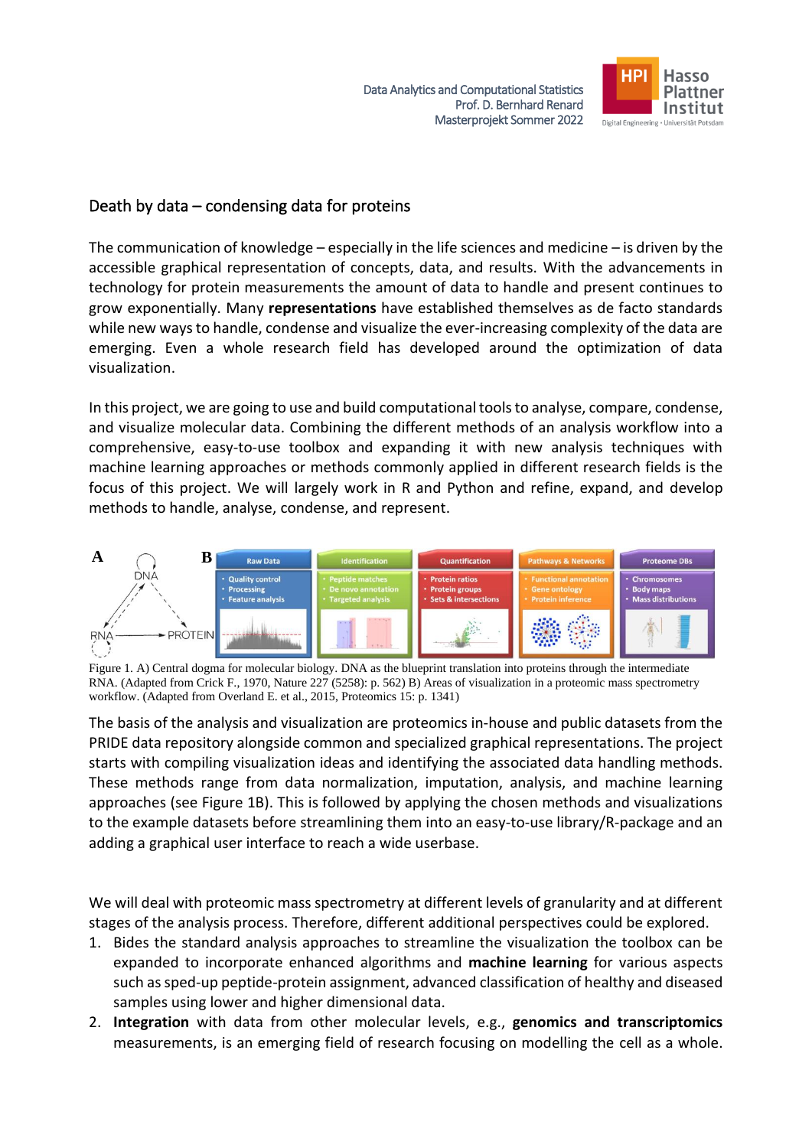

# Death by data – condensing data for proteins

The communication of knowledge – especially in the life sciences and medicine – is driven by the accessible graphical representation of concepts, data, and results. With the advancements in technology for protein measurements the amount of data to handle and present continues to grow exponentially. Many **representations** have established themselves as de facto standards while new ways to handle, condense and visualize the ever-increasing complexity of the data are emerging. Even a whole research field has developed around the optimization of data visualization.

In this project, we are going to use and build computational tools to analyse, compare, condense, and visualize molecular data. Combining the different methods of an analysis workflow into a comprehensive, easy-to-use toolbox and expanding it with new analysis techniques with machine learning approaches or methods commonly applied in different research fields is the focus of this project. We will largely work in R and Python and refine, expand, and develop methods to handle, analyse, condense, and represent.



Figure 1. A) Central dogma for molecular biology. DNA as the blueprint translation into proteins through the intermediate RNA. (Adapted from Crick F., 1970, Nature 227 (5258): p. 562) B) Areas of visualization in a proteomic mass spectrometry workflow. (Adapted from Overland E. et al., 2015, Proteomics 15: p. 1341)

The basis of the analysis and visualization are proteomics in-house and public datasets from the PRIDE data repository alongside common and specialized graphical representations. The project starts with compiling visualization ideas and identifying the associated data handling methods. These methods range from data normalization, imputation, analysis, and machine learning approaches (see Figure 1B). This is followed by applying the chosen methods and visualizations to the example datasets before streamlining them into an easy-to-use library/R-package and an adding a graphical user interface to reach a wide userbase.

We will deal with proteomic mass spectrometry at different levels of granularity and at different stages of the analysis process. Therefore, different additional perspectives could be explored.

- 1. Bides the standard analysis approaches to streamline the visualization the toolbox can be expanded to incorporate enhanced algorithms and **machine learning** for various aspects such as sped-up peptide-protein assignment, advanced classification of healthy and diseased samples using lower and higher dimensional data.
- 2. **Integration** with data from other molecular levels, e.g., **genomics and transcriptomics** measurements, is an emerging field of research focusing on modelling the cell as a whole.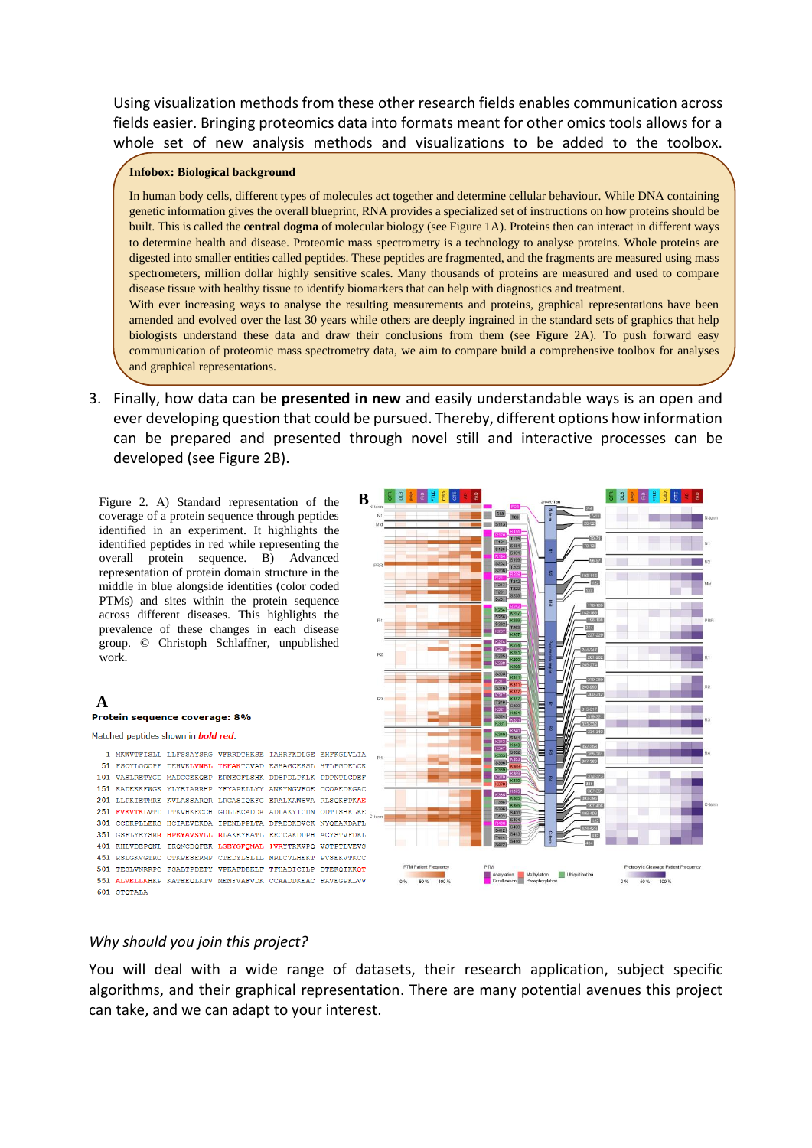Using visualization methods from these other research fields enables communication across fields easier. Bringing proteomics data into formats meant for other omics tools allows for a whole set of new analysis methods and visualizations to be added to the toolbox.

#### **Infobox: Biological background**

In human body cells, different types of molecules act together and determine cellular behaviour. While DNA containing genetic information gives the overall blueprint, RNA provides a specialized set of instructions on how proteins should be built. This is called the **central dogma** of molecular biology (see Figure 1A). Proteins then can interact in different ways to determine health and disease. Proteomic mass spectrometry is a technology to analyse proteins. Whole proteins are digested into smaller entities called peptides. These peptides are fragmented, and the fragments are measured using mass spectrometers, million dollar highly sensitive scales. Many thousands of proteins are measured and used to compare disease tissue with healthy tissue to identify biomarkers that can help with diagnostics and treatment.

With ever increasing ways to analyse the resulting measurements and proteins, graphical representations have been amended and evolved over the last 30 years while others are deeply ingrained in the standard sets of graphics that help biologists understand these data and draw their conclusions from them (see Figure 2A). To push forward easy communication of proteomic mass spectrometry data, we aim to compare build a comprehensive toolbox for analyses and graphical representations.

3. Finally, how data can be **presented in new** and easily understandable ways is an open and ever developing question that could be pursued. Thereby, different options how information can be prepared and presented through novel still and interactive processes can be developed (see Figure 2B).

Figure 2. A) Standard representation of the coverage of a protein sequence through peptides identified in an experiment. It highlights the identified peptides in red while representing the overall protein sequence. B) Advanced representation of protein domain structure in the middle in blue alongside identities (color coded PTMs) and sites within the protein sequence across different diseases. This highlights the prevalence of these changes in each disease group. © Christoph Schlaffner, unpublished work.

#### **A** Protein sequence coverage: 8%

Matched peptides shown in **bold red**.

1 MKWVTFISLL LLFSSAYSRG VFRRDTHKSE IAHRFKDLGE EHFKGLVLIA 51 FSQYLQQCPF DEHVKLVNEL TEFAKTCVAD ESHAGCEKSL HTLFGDELCK 101 VASLRETYGD MADCCEKQEP ERNECFLSHK DDSPDLPKLK PDPNTLCDEF 151 KADEKKFWGK YLYEIARRHP YFYAPELLYY ANKYNGVFQE CCQAEDKGAC 201 LLPKIETMRE KVLASSARQR LRCASIQKFG ERALKAWSVA RLSQKFPKAE 251 FVEVTKLVTD LTKVHKECCH GDLLECADDR ADLAKYICDN QDTISSKLKE 301 CCDKPLLEKS HCIAEVEKDA IPENLPPLTA DFAEDKDVCK NYQEAKDAFL 351 GSFLYEYSRR HPEYAVSVLL RLAKEYEATL EECCAKDDPH ACYSTVFDKL 401 KHLVDEPONL IKONCDOFEK LGEYGFONAL IVRYTRKVPO VSTPTLVEVS 451 RSLGKVGTRC CTKPESERMP CTEDYLSLIL NRLCVLHEKT PVSEKVTKCC 501 TESLVNRRPC FSALTPDETY VPKAFDEKLF TFHADICTLP DTEKQIKKQT 551 ALVELLKHKP KATEEQLKTV MENFVAFVDK CCAADDKEAC FAVEGPKLVV 601 STOTALA



### *Why should you join this project?*

You will deal with a wide range of datasets, their research application, subject specific algorithms, and their graphical representation. There are many potential avenues this project can take, and we can adapt to your interest.